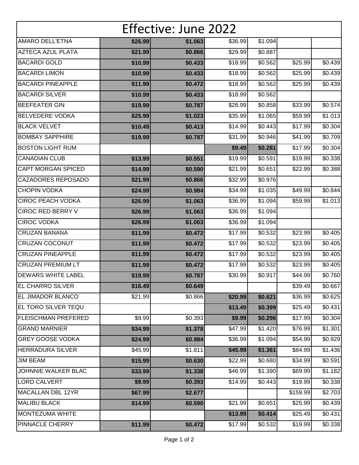| Effective: June 2022       |         |         |         |         |          |         |  |  |  |  |
|----------------------------|---------|---------|---------|---------|----------|---------|--|--|--|--|
| <b>AMARO DELL'ETNA</b>     | \$26.99 | \$1.063 | \$36.99 | \$1.094 |          |         |  |  |  |  |
| <b>AZTECA AZUL PLATA</b>   | \$21.99 | \$0.866 | \$29.99 | \$0.887 |          |         |  |  |  |  |
| <b>BACARDI GOLD</b>        | \$10.99 | \$0.433 | \$18.99 | \$0.562 | \$25.99  | \$0.439 |  |  |  |  |
| <b>BACARDI LIMON</b>       | \$10.99 | \$0.433 | \$18.99 | \$0.562 | \$25.99  | \$0.439 |  |  |  |  |
| <b>BACARDI PINEAPPLE</b>   | \$11.99 | \$0.472 | \$18.99 | \$0.562 | \$25.99  | \$0.439 |  |  |  |  |
| <b>BACARDI SILVER</b>      | \$10.99 | \$0.433 | \$18.99 | \$0.562 |          |         |  |  |  |  |
| <b>BEEFEATER GIN</b>       | \$19.99 | \$0.787 | \$28.99 | \$0.858 | \$33.99  | \$0.574 |  |  |  |  |
| <b>BELVEDERE VODKA</b>     | \$25.99 | \$1.023 | \$35.99 | \$1.065 | \$59.99  | \$1.013 |  |  |  |  |
| <b>BLACK VELVET</b>        | \$10.49 | \$0.413 | \$14.99 | \$0.443 | \$17.99  | \$0.304 |  |  |  |  |
| <b>BOMBAY SAPPHIRE</b>     | \$19.99 | \$0.787 | \$31.99 | \$0.946 | \$41.99  | \$0.709 |  |  |  |  |
| <b>BOSTON LIGHT RUM</b>    |         |         | \$9.49  | \$0.281 | \$17.99  | \$0.304 |  |  |  |  |
| <b>CANADIAN CLUB</b>       | \$13.99 | \$0.551 | \$19.99 | \$0.591 | \$19.99  | \$0.338 |  |  |  |  |
| <b>CAPT MORGAN SPICED</b>  | \$14.99 | \$0.590 | \$21.99 | \$0.651 | \$22.99  | \$0.388 |  |  |  |  |
| <b>CAZADORES REPOSADO</b>  | \$21.99 | \$0.866 | \$32.99 | \$0.976 |          |         |  |  |  |  |
| <b>CHOPIN VODKA</b>        | \$24.99 | \$0.984 | \$34.99 | \$1.035 | \$49.99  | \$0.844 |  |  |  |  |
| <b>CIROC PEACH VODKA</b>   | \$26.99 | \$1.063 | \$36.99 | \$1.094 | \$59.99  | \$1.013 |  |  |  |  |
| <b>CIROC RED BERRY V</b>   | \$26.99 | \$1.063 | \$36.99 | \$1.094 |          |         |  |  |  |  |
| <b>CIROC VODKA</b>         | \$26.99 | \$1.063 | \$36.99 | \$1.094 |          |         |  |  |  |  |
| <b>CRUZAN BANANA</b>       | \$11.99 | \$0.472 | \$17.99 | \$0.532 | \$23.99  | \$0.405 |  |  |  |  |
| <b>CRUZAN COCONUT</b>      | \$11.99 | \$0.472 | \$17.99 | \$0.532 | \$23.99  | \$0.405 |  |  |  |  |
| <b>CRUZAN PINEAPPLE</b>    | \$11.99 | \$0.472 | \$17.99 | \$0.532 | \$23.99  | \$0.405 |  |  |  |  |
| <b>CRUZAN PREMIUM LT</b>   | \$11.99 | \$0.472 | \$17.99 | \$0.532 | \$23.99  | \$0.405 |  |  |  |  |
| <b>DEWARS WHITE LABEL</b>  | \$19.99 | \$0.787 | \$30.99 | \$0.917 | \$44.99  | \$0.760 |  |  |  |  |
| <b>EL CHARRO SILVER</b>    | \$16.49 | \$0.649 |         |         | \$39.49  | \$0.667 |  |  |  |  |
| <b>EL JIMADOR BLANCO</b>   | \$21.99 | \$0.866 | \$20.99 | \$0.621 | \$36.99  | \$0.625 |  |  |  |  |
| EL TORO SILVER TEQU        |         |         | \$13.49 | \$0.399 | \$25.49  | \$0.431 |  |  |  |  |
| <b>FLEISCHMAN PREFERED</b> | \$9.99  | \$0.393 | \$9.99  | \$0.296 | \$17.99  | \$0.304 |  |  |  |  |
| <b>GRAND MARNIER</b>       | \$34.99 | \$1.378 | \$47.99 | \$1.420 | \$76.99  | \$1.301 |  |  |  |  |
| <b>GREY GOOSE VODKA</b>    | \$24.99 | \$0.984 | \$36.99 | \$1.094 | \$54.99  | \$0.929 |  |  |  |  |
| <b>HERRADURA SILVER</b>    | \$45.99 | \$1.811 | \$45.99 | \$1.361 | \$84.99  | \$1.436 |  |  |  |  |
| <b>JIM BEAM</b>            | \$15.99 | \$0.630 | \$22.99 | \$0.680 | \$34.99  | \$0.591 |  |  |  |  |
| JOHNNIE WALKER BLAC        | \$33.99 | \$1.338 | \$46.99 | \$1.390 | \$69.99  | \$1.182 |  |  |  |  |
| <b>LORD CALVERT</b>        | \$9.99  | \$0.393 | \$14.99 | \$0.443 | \$19.99  | \$0.338 |  |  |  |  |
| MACALLAN DBL 12YR          | \$67.99 | \$2.677 |         |         | \$159.99 | \$2.703 |  |  |  |  |
| <b>MALIBU BLACK</b>        | \$14.99 | \$0.590 | \$21.99 | \$0.651 | \$25.99  | \$0.439 |  |  |  |  |
| <b>MONTEZUMA WHITE</b>     |         |         | \$13.99 | \$0.414 | \$25.49  | \$0.431 |  |  |  |  |
| PINNACLE CHERRY            | \$11.99 | \$0.472 | \$17.99 | \$0.532 | \$19.99  | \$0.338 |  |  |  |  |